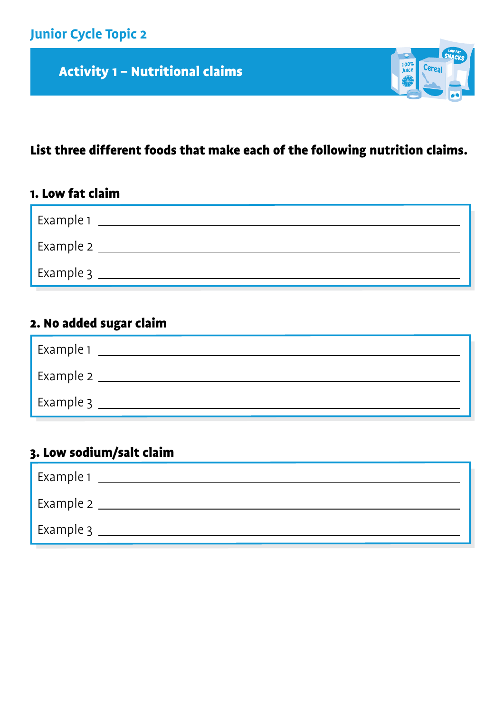Activity 1 – Nutritional claims

# List three different foods that make each of the following nutrition claims.

 $\frac{100\%}{\text{Juice}}$ 

Cere:

## 1. Low fat claim

| Example 1 |  |
|-----------|--|
| Example 2 |  |
| Example 3 |  |

# 2. No added sugar claim

| Example 1 |  |
|-----------|--|
| Example 2 |  |
| Example 3 |  |

## 3. Low sodium/salt claim

| Example 1 |  |
|-----------|--|
| Example 2 |  |
| Example 3 |  |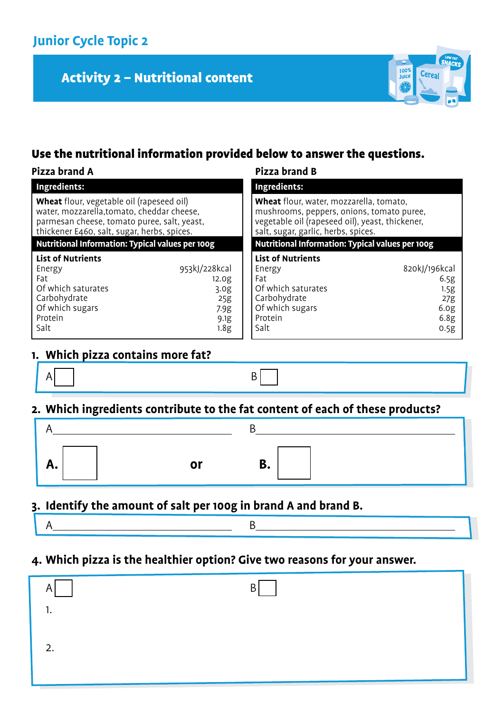# Activity 2 – Nutritional content



## Use the nutritional information provided below to answer the questions.

#### **Pizza brand A Pizza brand B**

| 1444 PRIMIN 71                                                                                                                                                                               |                   | . . <i>ll</i> u diuiu d                                                                                                                                                        |                  |
|----------------------------------------------------------------------------------------------------------------------------------------------------------------------------------------------|-------------------|--------------------------------------------------------------------------------------------------------------------------------------------------------------------------------|------------------|
| Ingredients:                                                                                                                                                                                 |                   | <b>Ingredients:</b>                                                                                                                                                            |                  |
| <b>Wheat</b> flour, vegetable oil (rapeseed oil)<br>water, mozzarella, tomato, cheddar cheese,<br>parmesan cheese, tomato puree, salt, yeast,<br>thickener E460, salt, sugar, herbs, spices. |                   | Wheat flour, water, mozzarella, tomato,<br>mushrooms, peppers, onions, tomato puree,<br>vegetable oil (rapeseed oil), yeast, thickener,<br>salt, sugar, garlic, herbs, spices. |                  |
| <b>Nutritional Information: Typical values per 100g</b>                                                                                                                                      |                   | <b>Nutritional Information: Typical values per 100g</b>                                                                                                                        |                  |
| <b>List of Nutrients</b>                                                                                                                                                                     |                   | <b>List of Nutrients</b>                                                                                                                                                       |                  |
| Energy                                                                                                                                                                                       | 953kJ/228kcal     | Energy                                                                                                                                                                         | 820kJ/196kcal    |
| Fat                                                                                                                                                                                          | 12.0 <sub>g</sub> | Fat                                                                                                                                                                            | 6.5g             |
| Of which saturates                                                                                                                                                                           | 3.0 <sub>g</sub>  | Of which saturates                                                                                                                                                             | 1.5g             |
| Carbohydrate                                                                                                                                                                                 | 25g               | Carbohydrate                                                                                                                                                                   | 27g              |
| Of which sugars                                                                                                                                                                              | 7.9g              | Of which sugars                                                                                                                                                                | 6.0 <sub>g</sub> |
| Protein                                                                                                                                                                                      | 9.1g              | Protein                                                                                                                                                                        | 6.8g             |
| Salt                                                                                                                                                                                         | 1.8g              | Salt                                                                                                                                                                           | 0.5g             |

### **1. Which pizza contains more fat?**

 $A$  B

## **2. Which ingredients contribute to the fat content of each of these products?**

| л. |  |
|----|--|

#### **3. Identify the amount of salt per 100g in brand A and brand B.**

- $A$  B
- **4. Which pizza is the healthier option? Give two reasons for your answer.**

| A   | B |
|-----|---|
| . . |   |
| 2.  |   |
|     |   |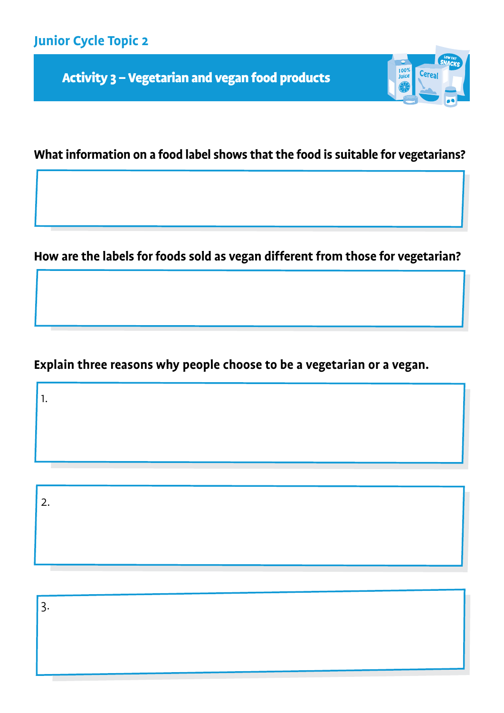Activity 3 – Vegetarian and vegan food products



## **What information on a food label shows that the food is suitable for vegetarians?**

**How are the labels for foods sold as vegan different from those for vegetarian?**

**Explain three reasons why people choose to be a vegetarian or a vegan.**

1.

2.

3.